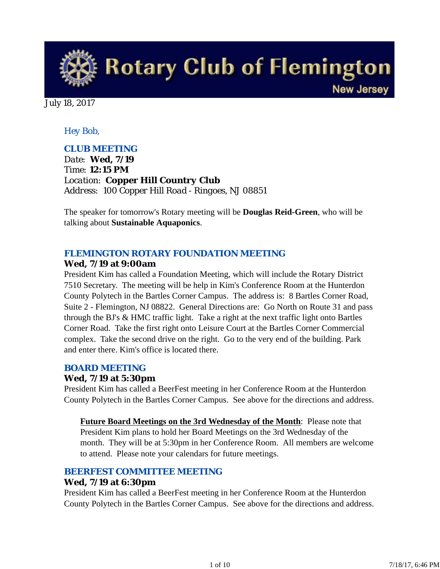**Rotary Club of Flemington New Jersey** 

July 18, 2017

# *Hey Bob,*

# *CLUB MEETING*

*Date: Wed, 7/19 Time: 12:15 PM Location: Copper Hill Country Club Address: 100 Copper Hill Road - Ringoes, NJ 08851*

The speaker for tomorrow's Rotary meeting will be **Douglas Reid-Green**, who will be talking about **Sustainable Aquaponics**.

## *FLEMINGTON ROTARY FOUNDATION MEETING*

## **Wed, 7/19 at 9:00am**

President Kim has called a Foundation Meeting, which will include the Rotary District 7510 Secretary. The meeting will be help in Kim's Conference Room at the Hunterdon County Polytech in the Bartles Corner Campus. The address is: 8 Bartles Corner Road, Suite 2 - Flemington, NJ 08822. General Directions are: Go North on Route 31 and pass through the BJ's & HMC traffic light. Take a right at the next traffic light onto Bartles Corner Road. Take the first right onto Leisure Court at the Bartles Corner Commercial complex. Take the second drive on the right. Go to the very end of the building. Park and enter there. Kim's office is located there.

## *BOARD MEETING*

## **Wed, 7/19 at 5:30pm**

President Kim has called a BeerFest meeting in her Conference Room at the Hunterdon County Polytech in the Bartles Corner Campus. See above for the directions and address.

**Future Board Meetings on the 3rd Wednesday of the Month**: Please note that President Kim plans to hold her Board Meetings on the 3rd Wednesday of the month. They will be at 5:30pm in her Conference Room. All members are welcome to attend. Please note your calendars for future meetings.

## *BEERFEST COMMITTEE MEETING*

## **Wed, 7/19 at 6:30pm**

President Kim has called a BeerFest meeting in her Conference Room at the Hunterdon County Polytech in the Bartles Corner Campus. See above for the directions and address.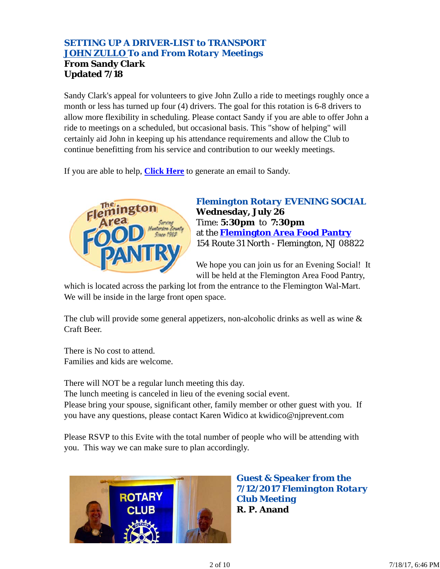# *SETTING UP A DRIVER-LIST to TRANSPORT JOHN ZULLO To and From Rotary Meetings* **From Sandy Clark Updated 7/18**

Sandy Clark's appeal for volunteers to give John Zullo a ride to meetings roughly once a month or less has turned up four (4) drivers. The goal for this rotation is 6-8 drivers to allow more flexibility in scheduling. Please contact Sandy if you are able to offer John a ride to meetings on a scheduled, but occasional basis. This "show of helping" will certainly aid John in keeping up his attendance requirements and allow the Club to continue benefitting from his service and contribution to our weekly meetings.

If you are able to help, **Click Here** to generate an email to Sandy.



*Flemington Rotary EVENING SOCIAL* **Wednesday, July 26** Time: **5:30pm** to **7:30pm** at the **Flemington Area Food Pantry** 154 Route 31 North - Flemington, NJ 08822

We hope you can join us for an Evening Social! It will be held at the Flemington Area Food Pantry,

which is located across the parking lot from the entrance to the Flemington Wal-Mart. We will be inside in the large front open space.

The club will provide some general appetizers, non-alcoholic drinks as well as wine & Craft Beer.

There is No cost to attend. Families and kids are welcome.

There will NOT be a regular lunch meeting this day. The lunch meeting is canceled in lieu of the evening social event. Please bring your spouse, significant other, family member or other guest with you. If you have any questions, please contact Karen Widico at kwidico@njprevent.com

Please RSVP to this Evite with the total number of people who will be attending with you. This way we can make sure to plan accordingly.



*Guest & Speaker from the 7/12/2017 Flemington Rotary Club Meeting* **R. P. Anand**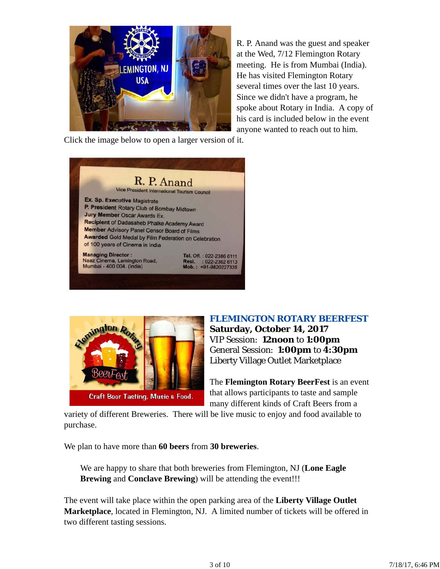

R. P. Anand was the guest and speaker at the Wed, 7/12 Flemington Rotary meeting. He is from Mumbai (India). He has visited Flemington Rotary several times over the last 10 years. Since we didn't have a program, he spoke about Rotary in India. A copy of his card is included below in the event anyone wanted to reach out to him.

Click the image below to open a larger version of it.





## *FLEMINGTON ROTARY BEERFEST*

**Saturday, October 14, 2017** VIP Session: **12noon** to **1:00pm** General Session: **1:00pm** to **4:30pm** Liberty Village Outlet Marketplace

The **Flemington Rotary BeerFest** is an event that allows participants to taste and sample many different kinds of Craft Beers from a

variety of different Breweries. There will be live music to enjoy and food available to purchase.

We plan to have more than **60 beers** from **30 breweries**.

We are happy to share that both breweries from Flemington, NJ (**Lone Eagle Brewing** and **Conclave Brewing**) will be attending the event!!!

The event will take place within the open parking area of the **Liberty Village Outlet Marketplace**, located in Flemington, NJ. A limited number of tickets will be offered in two different tasting sessions.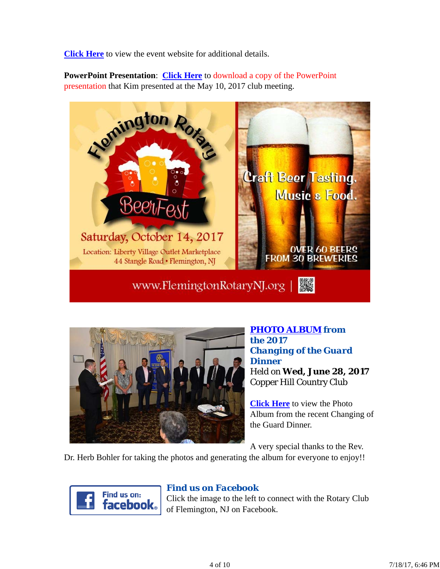**Click Here** to view the event website for additional details.

**PowerPoint Presentation**: **Click Here** to download a copy of the PowerPoint presentation that Kim presented at the May 10, 2017 club meeting.





*PHOTO ALBUM from the 2017 Changing of the Guard Dinner* Held on **Wed, June 28, 2017** Copper Hill Country Club

**Click Here** to view the Photo Album from the recent Changing of the Guard Dinner.

A very special thanks to the Rev.

Dr. Herb Bohler for taking the photos and generating the album for everyone to enjoy!!



# *Find us on Facebook*

Click the image to the left to connect with the Rotary Club of Flemington, NJ on Facebook.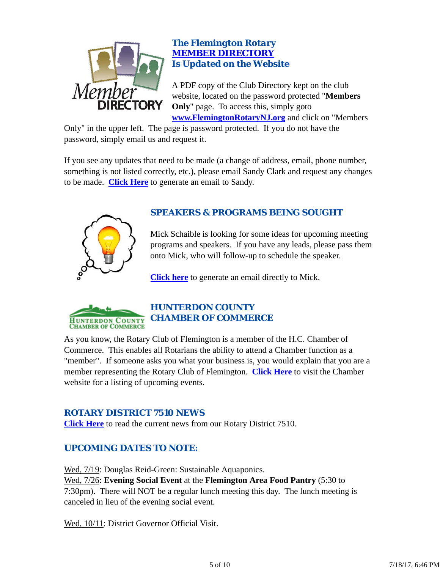

# *The Flemington Rotary MEMBER DIRECTORY Is Updated on the Website*

A PDF copy of the Club Directory kept on the club website, located on the password protected "**Members Only**" page. To access this, simply goto **www.FlemingtonRotaryNJ.org** and click on "Members

Only" in the upper left. The page is password protected. If you do not have the password, simply email us and request it.

If you see any updates that need to be made (a change of address, email, phone number, something is not listed correctly, etc.), please email Sandy Clark and request any changes to be made. **Click Here** to generate an email to Sandy.



# *SPEAKERS & PROGRAMS BEING SOUGHT*

Mick Schaible is looking for some ideas for upcoming meeting programs and speakers. If you have any leads, please pass them onto Mick, who will follow-up to schedule the speaker.

**Click here** to generate an email directly to Mick.



# *HUNTERDON COUNTY CHAMBER OF COMMERCE*

As you know, the Rotary Club of Flemington is a member of the H.C. Chamber of Commerce. This enables all Rotarians the ability to attend a Chamber function as a "member". If someone asks you what your business is, you would explain that you are a member representing the Rotary Club of Flemington. **Click Here** to visit the Chamber website for a listing of upcoming events.

# *ROTARY DISTRICT 7510 NEWS*

**Click Here** to read the current news from our Rotary District 7510.

# *UPCOMING DATES TO NOTE:*

Wed,  $7/19$ : Douglas Reid-Green: Sustainable Aquaponics. Wed, 7/26: **Evening Social Event** at the **Flemington Area Food Pantry** (5:30 to 7:30pm). There will NOT be a regular lunch meeting this day. The lunch meeting is canceled in lieu of the evening social event.

Wed, 10/11: District Governor Official Visit.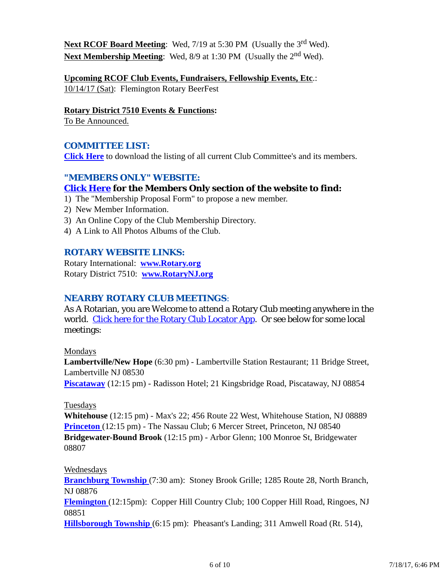**Next RCOF Board Meeting:** Wed, 7/19 at 5:30 PM (Usually the 3<sup>rd</sup> Wed). **Next Membership Meeting:** Wed, 8/9 at 1:30 PM (Usually the 2<sup>nd</sup> Wed).

**Upcoming RCOF Club Events, Fundraisers, Fellowship Events, Etc**.: 10/14/17 (Sat): Flemington Rotary BeerFest

**Rotary District 7510 Events & Functions:**

To Be Announced.

# *COMMITTEE LIST:*

**Click Here** to download the listing of all current Club Committee's and its members.

# *"MEMBERS ONLY" WEBSITE:*

## **Click Here for the Members Only section of the website to find:**

- 1) The "Membership Proposal Form" to propose a new member.
- 2) New Member Information.
- 3) An Online Copy of the Club Membership Directory.
- 4) A Link to All Photos Albums of the Club.

## *ROTARY WEBSITE LINKS:*

Rotary International: **www.Rotary.org** Rotary District 7510: **www.RotaryNJ.org**

## *NEARBY ROTARY CLUB MEETINGS:*

As A Rotarian, you are Welcome to attend a Rotary Club meeting anywhere in the world. Click here for the Rotary Club Locator App. Or see below for some local meetings:

#### Mondays

**Lambertville/New Hope** (6:30 pm) - Lambertville Station Restaurant; 11 Bridge Street, Lambertville NJ 08530

**Piscataway** (12:15 pm) - Radisson Hotel; 21 Kingsbridge Road, Piscataway, NJ 08854

#### Tuesdays

**Whitehouse** (12:15 pm) - Max's 22; 456 Route 22 West, Whitehouse Station, NJ 08889 **Princeton** (12:15 pm) - The Nassau Club; 6 Mercer Street, Princeton, NJ 08540 **Bridgewater-Bound Brook** (12:15 pm) - Arbor Glenn; 100 Monroe St, Bridgewater 08807

#### Wednesdays

**Branchburg Township** (7:30 am): Stoney Brook Grille; 1285 Route 28, North Branch, NJ 08876 **Flemington** (12:15pm): Copper Hill Country Club; 100 Copper Hill Road, Ringoes, NJ 08851 **Hillsborough Township** (6:15 pm): Pheasant's Landing; 311 Amwell Road (Rt. 514),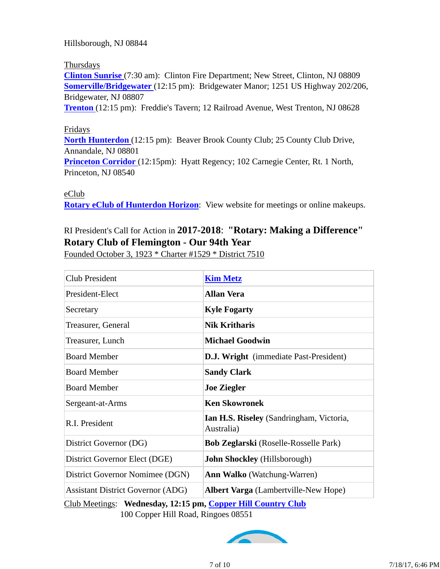Hillsborough, NJ 08844

#### Thursdays

**Clinton Sunrise** (7:30 am): Clinton Fire Department; New Street, Clinton, NJ 08809 **Somerville/Bridgewater** (12:15 pm): Bridgewater Manor; 1251 US Highway 202/206, Bridgewater, NJ 08807

**Trenton** (12:15 pm): Freddie's Tavern; 12 Railroad Avenue, West Trenton, NJ 08628

#### Fridays

**North Hunterdon** (12:15 pm): Beaver Brook County Club; 25 County Club Drive, Annandale, NJ 08801

**Princeton Corridor** (12:15pm): Hyatt Regency; 102 Carnegie Center, Rt. 1 North, Princeton, NJ 08540

eClub

**Rotary eClub of Hunterdon Horizon**: View website for meetings or online makeups.

# RI President's Call for Action in **2017-2018**: **"Rotary: Making a Difference" Rotary Club of Flemington - Our 94th Year**

Founded October 3, 1923 \* Charter #1529 \* District 7510

| Club President                                                                                  | <b>Kim Metz</b>                                        |  |  |  |
|-------------------------------------------------------------------------------------------------|--------------------------------------------------------|--|--|--|
| President-Elect                                                                                 | <b>Allan Vera</b>                                      |  |  |  |
| Secretary                                                                                       | <b>Kyle Fogarty</b>                                    |  |  |  |
| Treasurer, General                                                                              | <b>Nik Kritharis</b>                                   |  |  |  |
| Treasurer, Lunch                                                                                | <b>Michael Goodwin</b>                                 |  |  |  |
| <b>Board Member</b>                                                                             | <b>D.J. Wright</b> (immediate Past-President)          |  |  |  |
| <b>Board Member</b>                                                                             | <b>Sandy Clark</b>                                     |  |  |  |
| <b>Board Member</b>                                                                             | <b>Joe Ziegler</b>                                     |  |  |  |
| Sergeant-at-Arms                                                                                | <b>Ken Skowronek</b>                                   |  |  |  |
| R.I. President                                                                                  | Ian H.S. Riseley (Sandringham, Victoria,<br>Australia) |  |  |  |
| District Governor (DG)                                                                          | <b>Bob Zeglarski</b> (Roselle-Rosselle Park)           |  |  |  |
| District Governor Elect (DGE)                                                                   | <b>John Shockley</b> (Hillsborough)                    |  |  |  |
| District Governor Nomimee (DGN)                                                                 | <b>Ann Walko</b> (Watchung-Warren)                     |  |  |  |
| <b>Assistant District Governor (ADG)</b>                                                        | <b>Albert Varga</b> (Lambertville-New Hope)            |  |  |  |
| $C_{\rm lab}$ Mostings: Wadnesday 12.15 nm $C_{\rm onnon}$ Hill $C_{\rm ountriv}$ $C_{\rm lab}$ |                                                        |  |  |  |

Club Meetings: **Wednesday, 12:15 pm, Copper Hill Country Club** 100 Copper Hill Road, Ringoes 08551

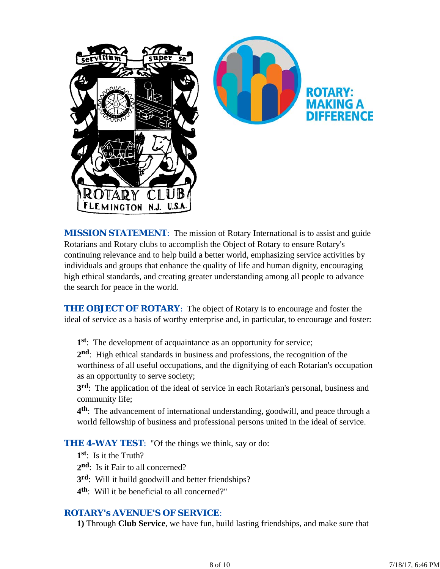

*MISSION STATEMENT*: The mission of Rotary International is to assist and guide Rotarians and Rotary clubs to accomplish the Object of Rotary to ensure Rotary's continuing relevance and to help build a better world, emphasizing service activities by individuals and groups that enhance the quality of life and human dignity, encouraging high ethical standards, and creating greater understanding among all people to advance the search for peace in the world.

**THE OBJECT OF ROTARY:** The object of Rotary is to encourage and foster the ideal of service as a basis of worthy enterprise and, in particular, to encourage and foster:

**1st**: The development of acquaintance as an opportunity for service;

**2nd**: High ethical standards in business and professions, the recognition of the worthiness of all useful occupations, and the dignifying of each Rotarian's occupation as an opportunity to serve society;

**3rd**: The application of the ideal of service in each Rotarian's personal, business and community life;

**4th**: The advancement of international understanding, goodwill, and peace through a world fellowship of business and professional persons united in the ideal of service.

**THE 4-WAY TEST:** "Of the things we think, say or do:

- **1st**: Is it the Truth?
- 2<sup>nd</sup>: Is it Fair to all concerned?
- **3rd**: Will it build goodwill and better friendships?
- **4th**: Will it be beneficial to all concerned?"

## *ROTARY's AVENUE'S OF SERVICE*:

**1)** Through **Club Service**, we have fun, build lasting friendships, and make sure that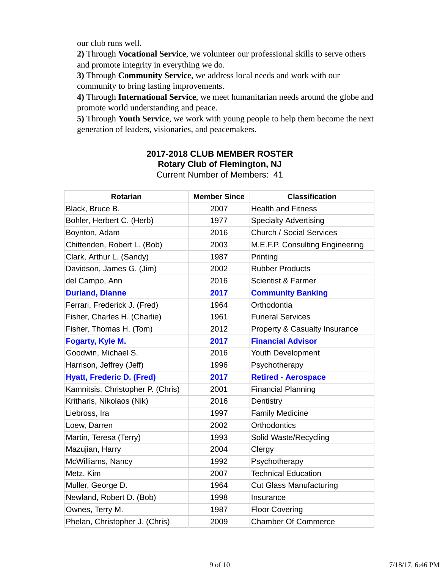our club runs well.

**2)** Through **Vocational Service**, we volunteer our professional skills to serve others and promote integrity in everything we do.

**3)** Through **Community Service**, we address local needs and work with our community to bring lasting improvements.

**4)** Through **International Service**, we meet humanitarian needs around the globe and promote world understanding and peace.

**5)** Through **Youth Service**, we work with young people to help them become the next generation of leaders, visionaries, and peacemakers.

# **2017-2018 CLUB MEMBER ROSTER Rotary Club of Flemington, NJ**

|  |  |  | <b>Current Number of Members: 41</b> |  |
|--|--|--|--------------------------------------|--|
|--|--|--|--------------------------------------|--|

| <b>Rotarian</b>                   | <b>Member Since</b> | <b>Classification</b>           |
|-----------------------------------|---------------------|---------------------------------|
| Black, Bruce B.                   | 2007                | <b>Health and Fitness</b>       |
| Bohler, Herbert C. (Herb)         | 1977                | <b>Specialty Advertising</b>    |
| Boynton, Adam                     | 2016                | <b>Church / Social Services</b> |
| Chittenden, Robert L. (Bob)       | 2003                | M.E.F.P. Consulting Engineering |
| Clark, Arthur L. (Sandy)          | 1987                | Printing                        |
| Davidson, James G. (Jim)          | 2002                | <b>Rubber Products</b>          |
| del Campo, Ann                    | 2016                | <b>Scientist &amp; Farmer</b>   |
| <b>Durland, Dianne</b>            | 2017                | <b>Community Banking</b>        |
| Ferrari, Frederick J. (Fred)      | 1964                | Orthodontia                     |
| Fisher, Charles H. (Charlie)      | 1961                | <b>Funeral Services</b>         |
| Fisher, Thomas H. (Tom)           | 2012                | Property & Casualty Insurance   |
| <b>Fogarty, Kyle M.</b>           | 2017                | <b>Financial Advisor</b>        |
| Goodwin, Michael S.               | 2016                | Youth Development               |
| Harrison, Jeffrey (Jeff)          | 1996                | Psychotherapy                   |
| <b>Hyatt, Frederic D. (Fred)</b>  | 2017                | <b>Retired - Aerospace</b>      |
| Kamnitsis, Christopher P. (Chris) | 2001                | <b>Financial Planning</b>       |
| Kritharis, Nikolaos (Nik)         | 2016                | Dentistry                       |
| Liebross, Ira                     | 1997                | <b>Family Medicine</b>          |
| Loew, Darren                      | 2002                | <b>Orthodontics</b>             |
| Martin, Teresa (Terry)            | 1993                | Solid Waste/Recycling           |
| Mazujian, Harry                   | 2004                | Clergy                          |
| McWilliams, Nancy                 | 1992                | Psychotherapy                   |
| Metz, Kim                         | 2007                | <b>Technical Education</b>      |
| Muller, George D.                 | 1964                | <b>Cut Glass Manufacturing</b>  |
| Newland, Robert D. (Bob)          | 1998                | Insurance                       |
| Ownes, Terry M.                   | 1987                | <b>Floor Covering</b>           |
| Phelan, Christopher J. (Chris)    | 2009                | <b>Chamber Of Commerce</b>      |